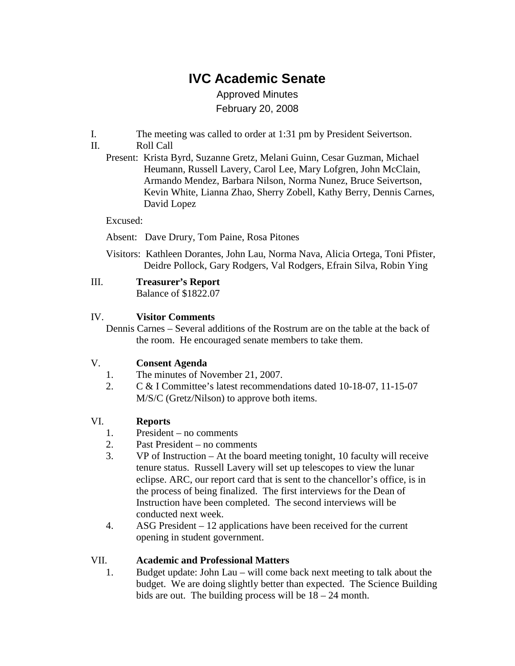# **IVC Academic Senate**

Approved Minutes February 20, 2008

- I. The meeting was called to order at 1:31 pm by President Seivertson.
- II. Roll Call
	- Present: Krista Byrd, Suzanne Gretz, Melani Guinn, Cesar Guzman, Michael Heumann, Russell Lavery, Carol Lee, Mary Lofgren, John McClain, Armando Mendez, Barbara Nilson, Norma Nunez, Bruce Seivertson, Kevin White, Lianna Zhao, Sherry Zobell, Kathy Berry, Dennis Carnes, David Lopez

#### Excused:

- Absent: Dave Drury, Tom Paine, Rosa Pitones
- Visitors: Kathleen Dorantes, John Lau, Norma Nava, Alicia Ortega, Toni Pfister, Deidre Pollock, Gary Rodgers, Val Rodgers, Efrain Silva, Robin Ying

Balance of \$1822.07

### IV. **Visitor Comments**

Dennis Carnes – Several additions of the Rostrum are on the table at the back of the room. He encouraged senate members to take them.

#### V. **Consent Agenda**

- 1. The minutes of November 21, 2007.
- 2. C & I Committee's latest recommendations dated 10-18-07, 11-15-07 M/S/C (Gretz/Nilson) to approve both items.

### VI. **Reports**

- 1. President no comments
- 2. Past President no comments
- 3. VP of Instruction At the board meeting tonight, 10 faculty will receive tenure status. Russell Lavery will set up telescopes to view the lunar eclipse. ARC, our report card that is sent to the chancellor's office, is in the process of being finalized. The first interviews for the Dean of Instruction have been completed. The second interviews will be conducted next week.
- 4. ASG President 12 applications have been received for the current opening in student government.

#### VII. **Academic and Professional Matters**

1. Budget update: John Lau – will come back next meeting to talk about the budget. We are doing slightly better than expected. The Science Building bids are out. The building process will be 18 – 24 month.

III. **Treasurer's Report**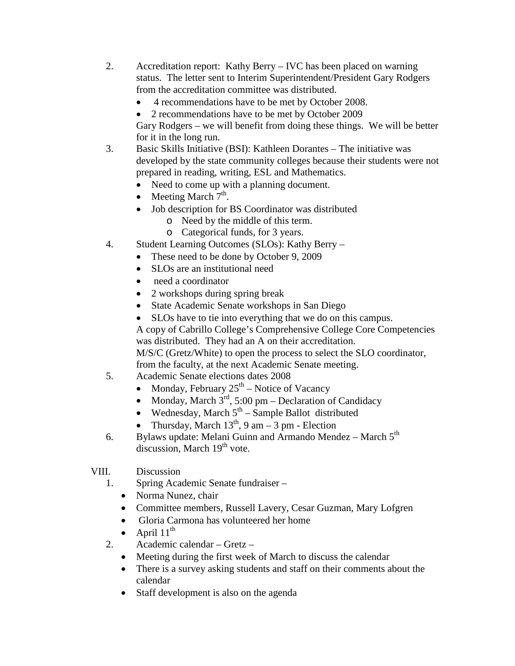- 2. Accreditation report: Kathy Berry IVC has been placed on warning status. The letter sent to Interim Superintendent/President Gary Rodgers from the accreditation committee was distributed.
	- 4 recommendations have to be met by October 2008.
	- 2 recommendations have to be met by October 2009

Gary Rodgers – we will benefit from doing these things. We will be better for it in the long run.

- 3. Basic Skills Initiative (BSI): Kathleen Dorantes The initiative was developed by the state community colleges because their students were not prepared in reading, writing, ESL and Mathematics.
	- Need to come up with a planning document.
	- Meeting March  $7<sup>th</sup>$ .
	- Job description for BS Coordinator was distributed
		- o Need by the middle of this term.
		- o Categorical funds, for 3 years.
- 4. Student Learning Outcomes (SLOs): Kathy Berry
	- These need to be done by October 9, 2009
	- SLOs are an institutional need
	- need a coordinator
	- 2 workshops during spring break
	- State Academic Senate workshops in San Diego
	- SLOs have to tie into everything that we do on this campus.

A copy of Cabrillo College's Comprehensive College Core Competencies was distributed. They had an A on their accreditation.

M/S/C (Gretz/White) to open the process to select the SLO coordinator, from the faculty, at the next Academic Senate meeting.

- 5. Academic Senate elections dates 2008
	- Monday, February  $25<sup>th</sup>$  Notice of Vacancy
	- Monday, March  $3^{rd}$ , 5:00 pm Declaration of Candidacy
	- Wednesday, March  $5<sup>th</sup>$  Sample Ballot distributed
	- Thursday, March  $13<sup>th</sup>$ , 9 am 3 pm Election
- 6. Bylaws update: Melani Guinn and Armando Mendez March  $5<sup>th</sup>$ discussion, March 19<sup>th</sup> vote.
- VIII. Discussion
	- 1. Spring Academic Senate fundraiser
		- Norma Nunez, chair
		- Committee members, Russell Lavery, Cesar Guzman, Mary Lofgren
		- Gloria Carmona has volunteered her home
		- April  $11^{\text{th}}$
	- 2. Academic calendar Gretz
		- Meeting during the first week of March to discuss the calendar
		- There is a survey asking students and staff on their comments about the calendar
		- Staff development is also on the agenda